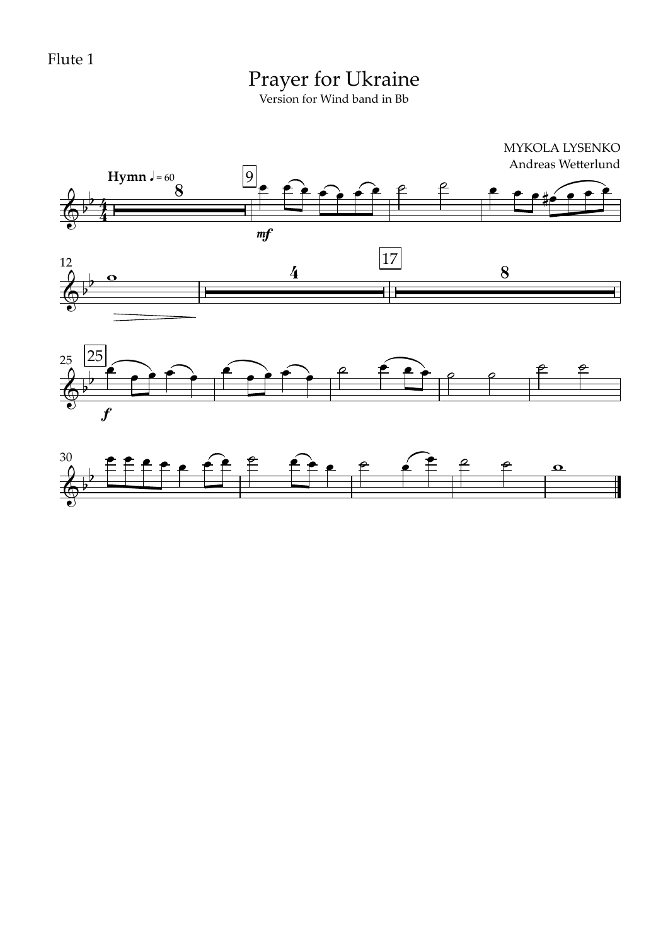Flute 1

# Prayer for Ukraine

Version for Wind band in Bb

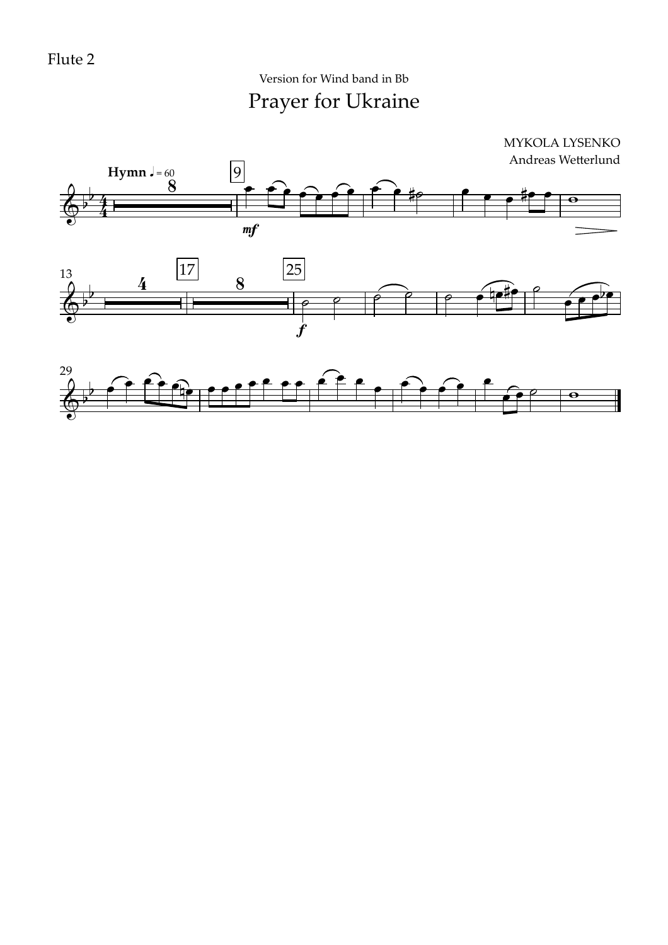Prayer for Ukraine Version for Wind band in Bb

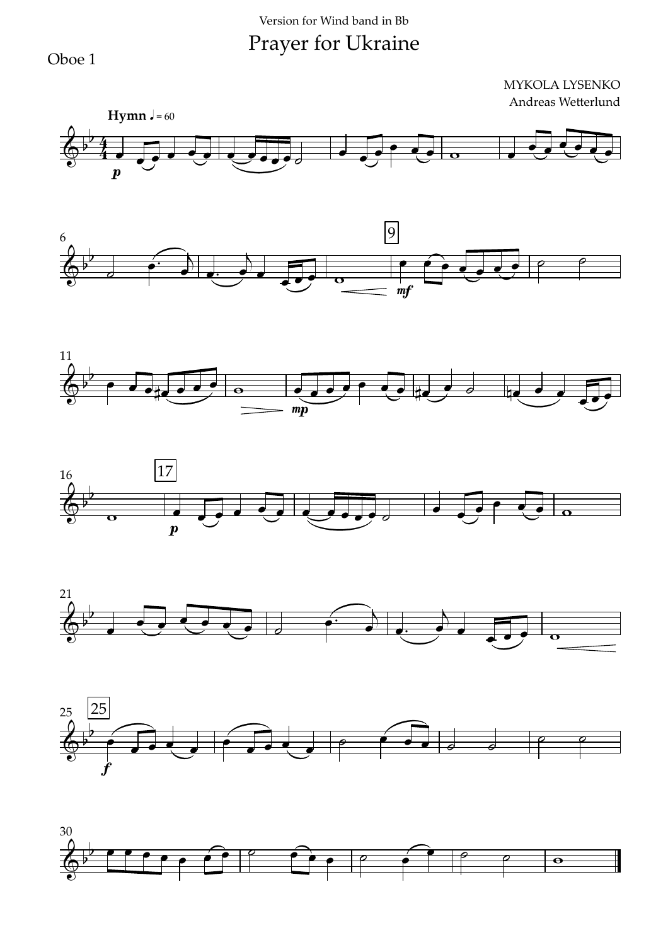Oboe 1













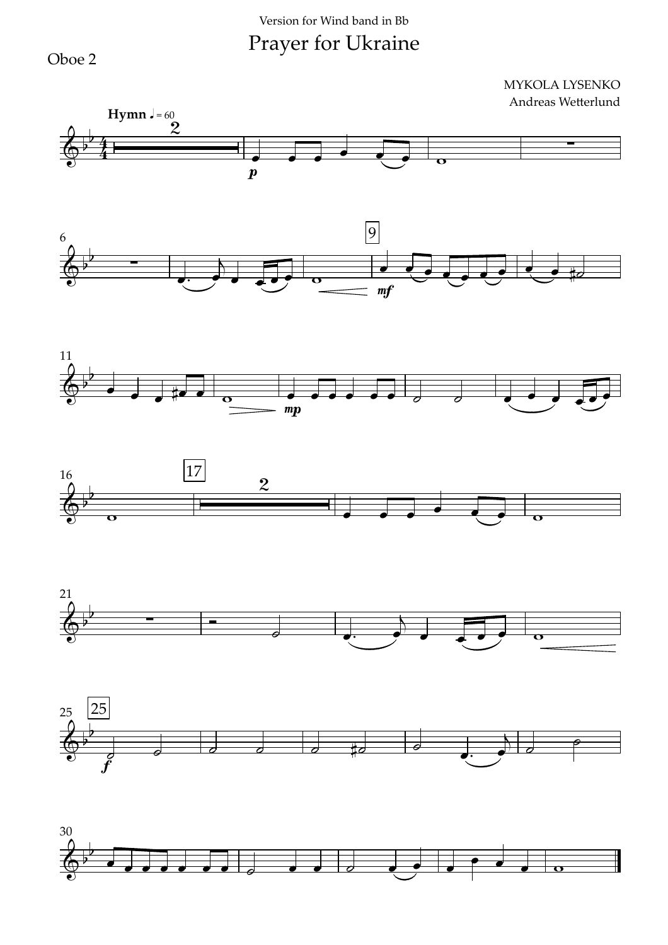Oboe 2













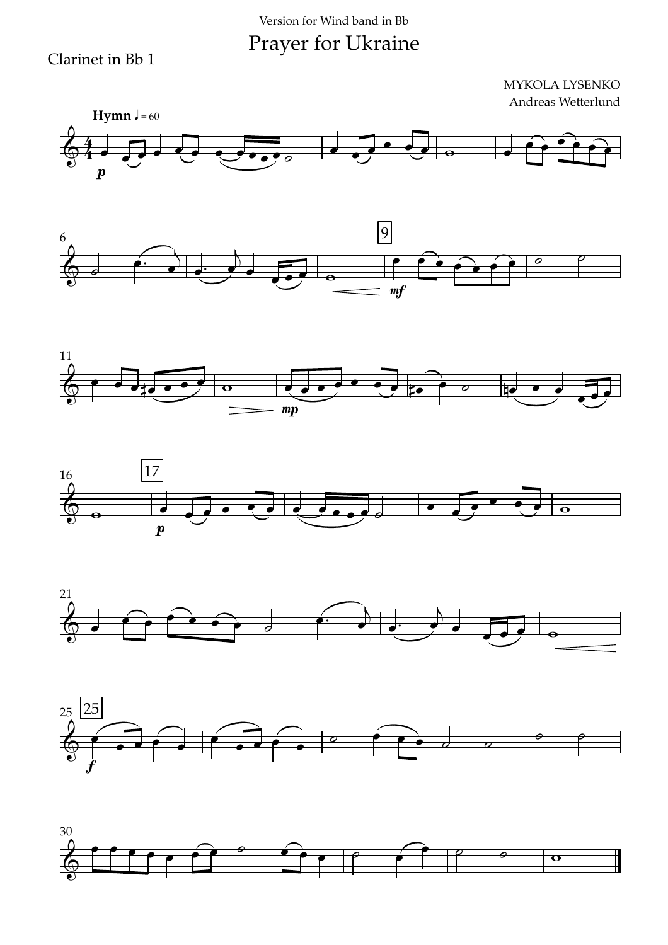Clarinet in Bb 1













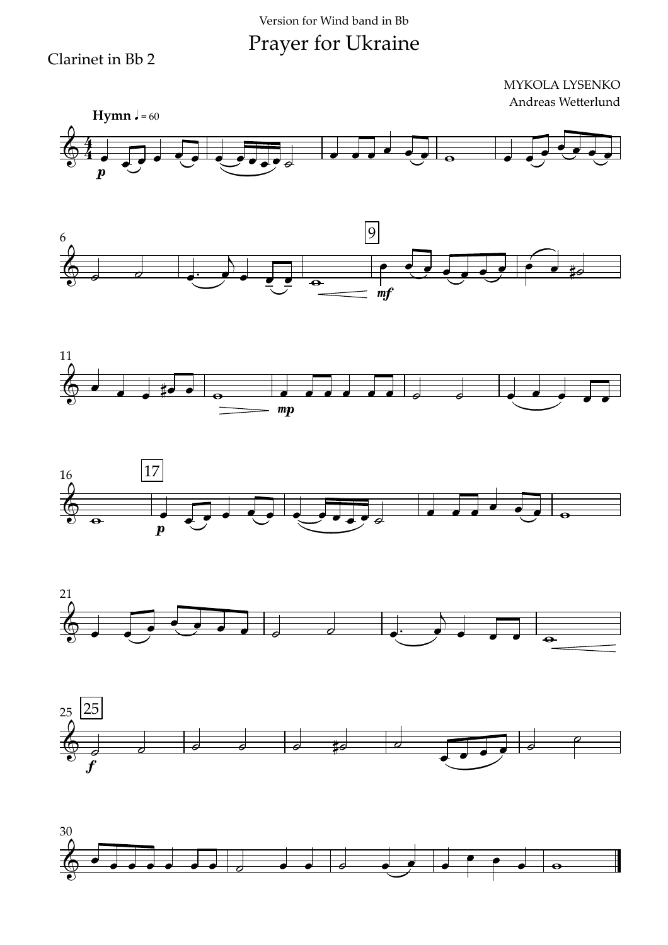Clarinet in Bb 2













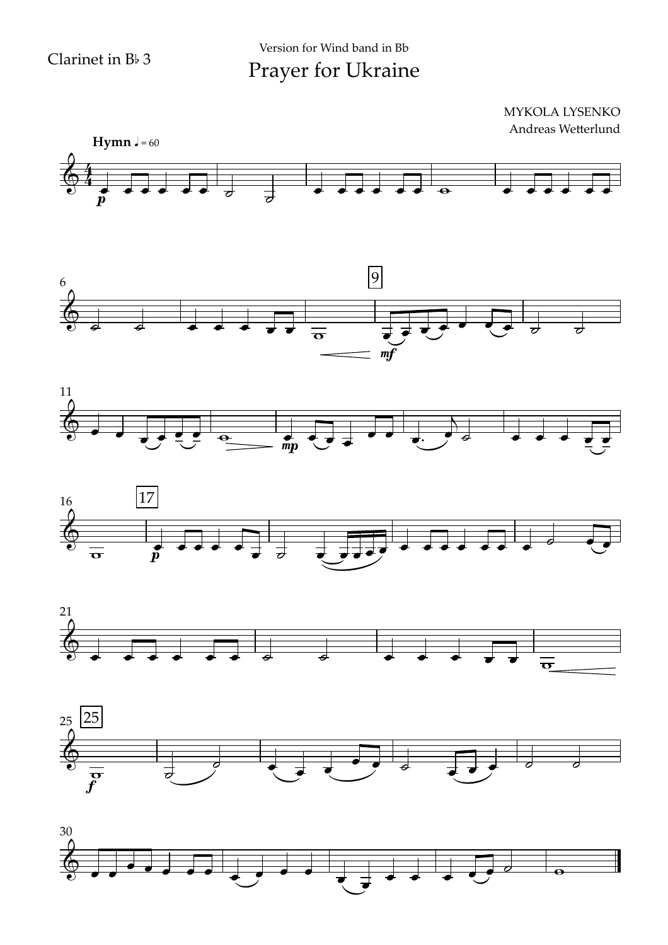

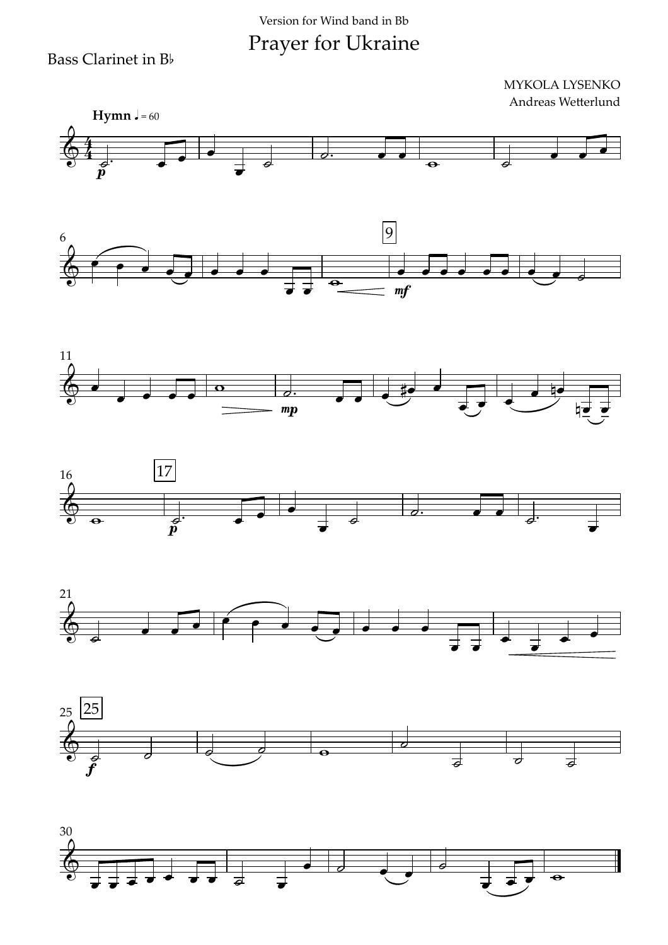#### Version for Wind band in Bb

Prayer for Ukraine

Bass Clarinet in Bb













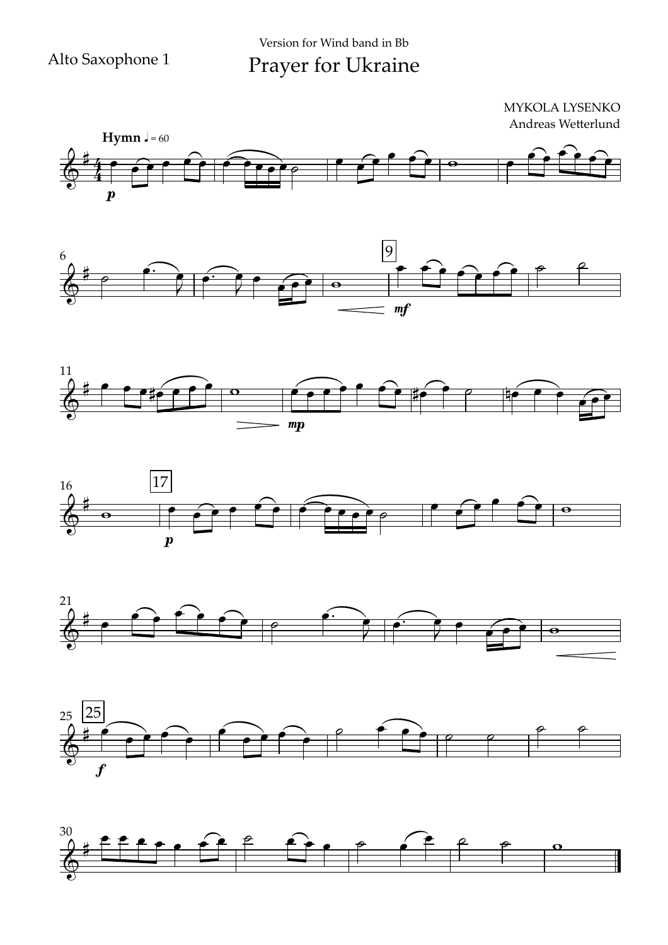











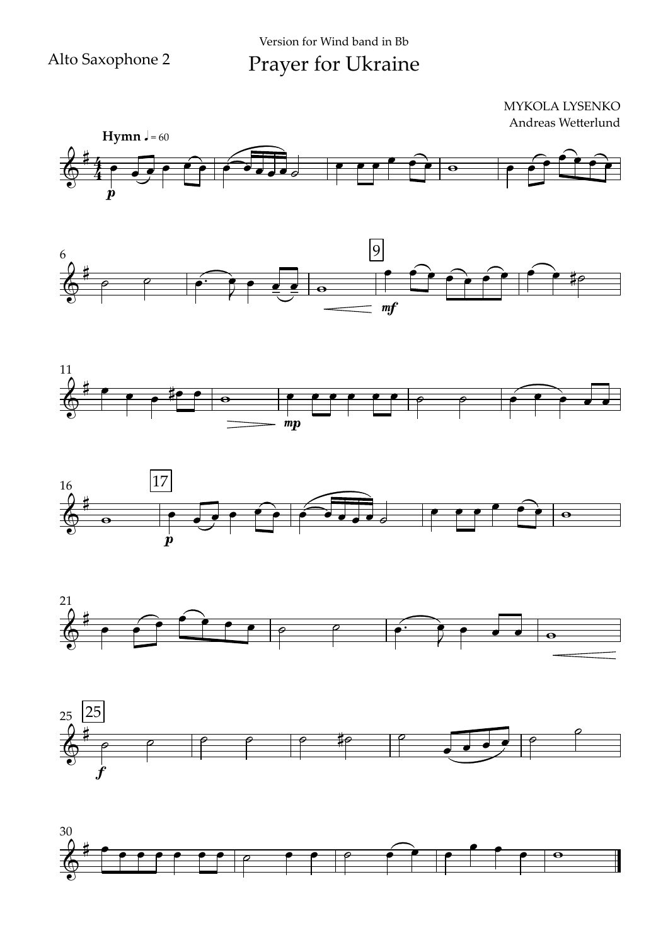











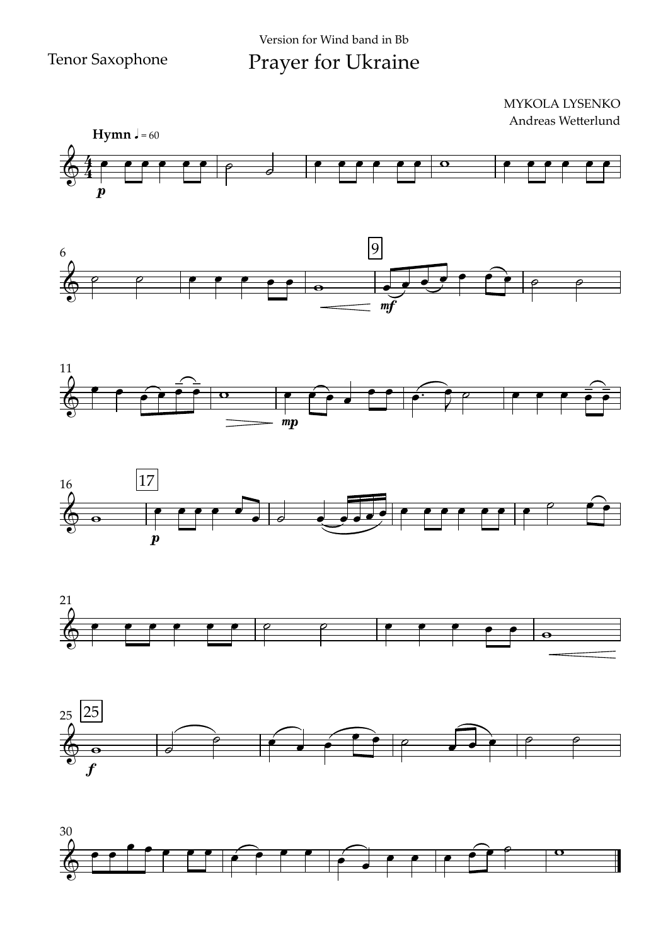#### $\boldsymbol{p}$ **Hymn**  $J = 60$  $64 - 6$ MYKOLA LYSENKO Andreas Wetterlund œ œ œ œ œ œ ˙ ˙ œ œ œ œ œ œ w œ œ œ œ œ œ











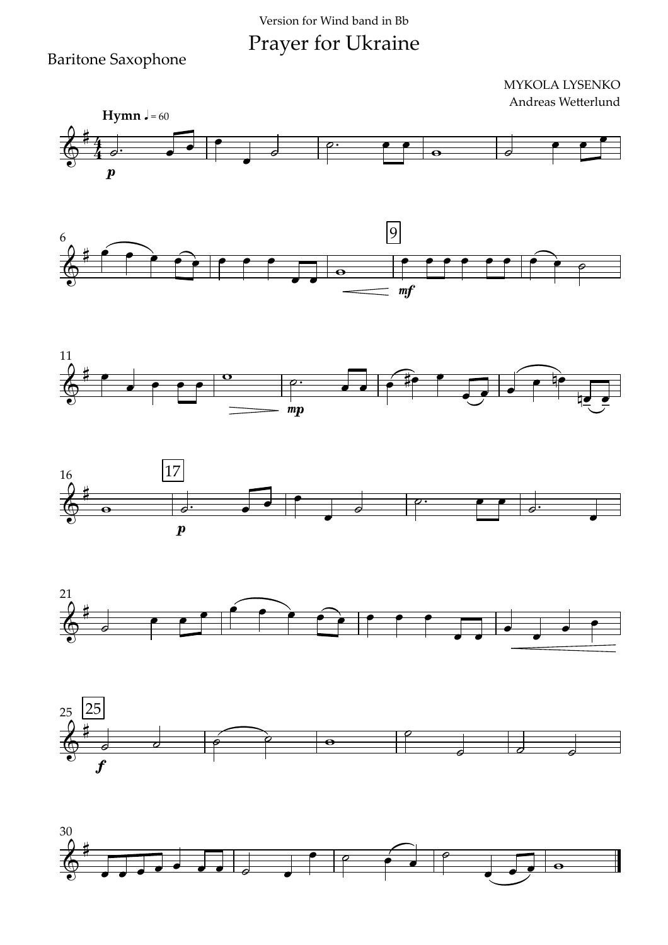#### Version for Wind band in Bb

Prayer for Ukraine

#### Baritone Saxophone













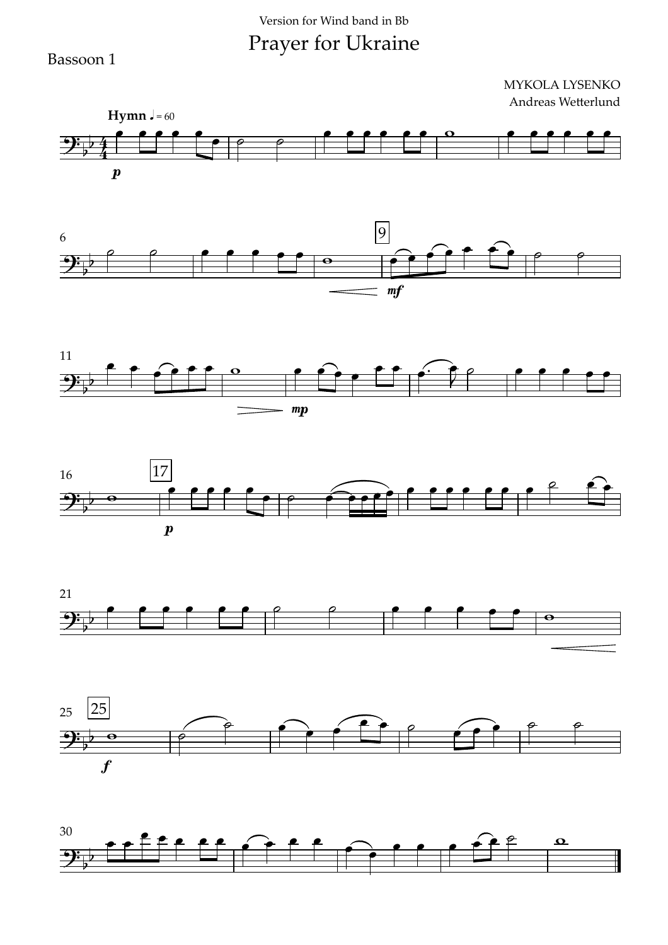Bassoon 1













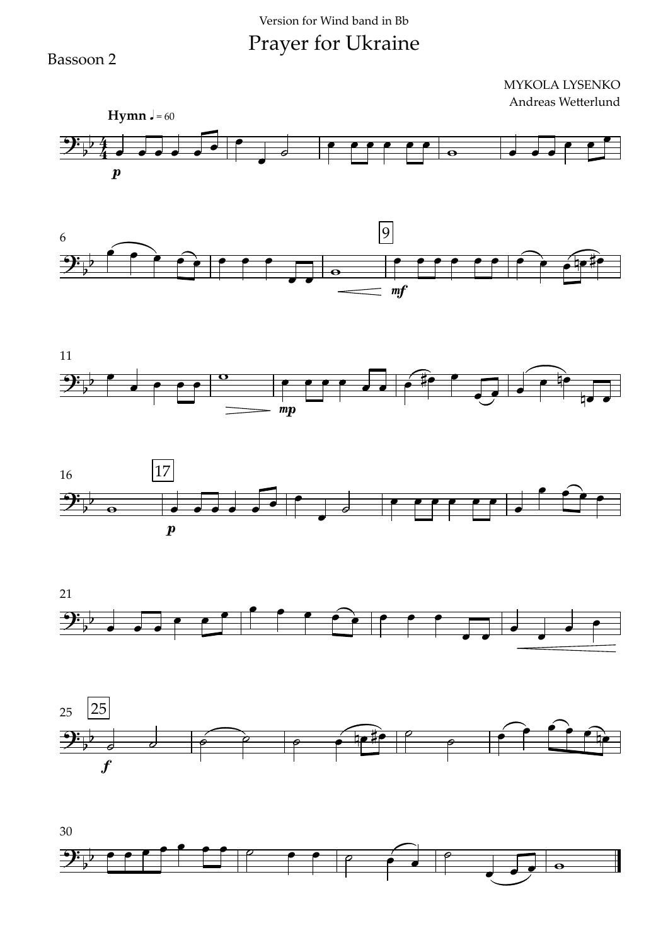Bassoon 2













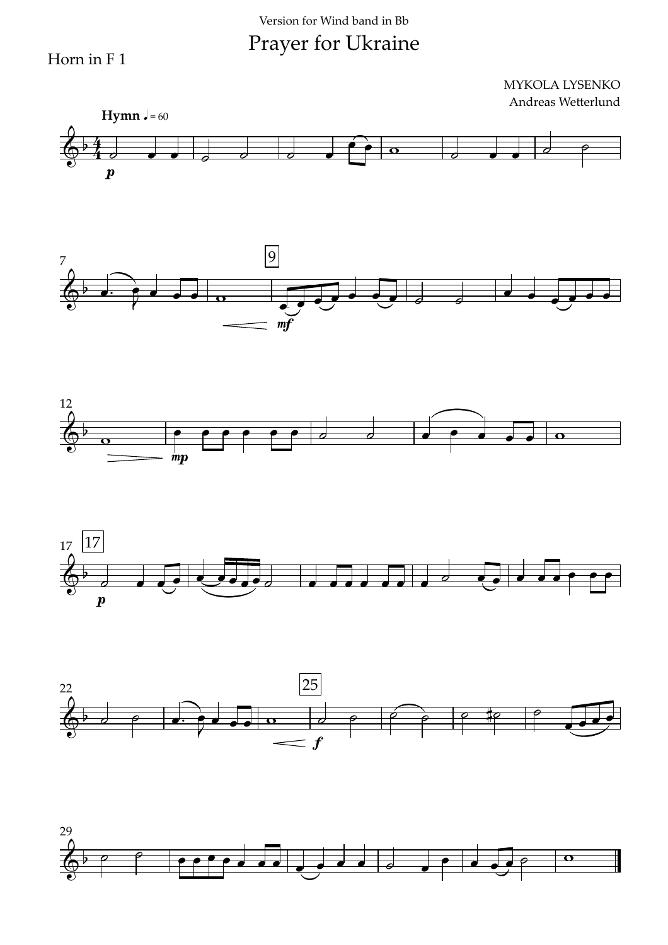Horn in F 1

MYKOLA LYSENKO Andreas Wetterlund





mf





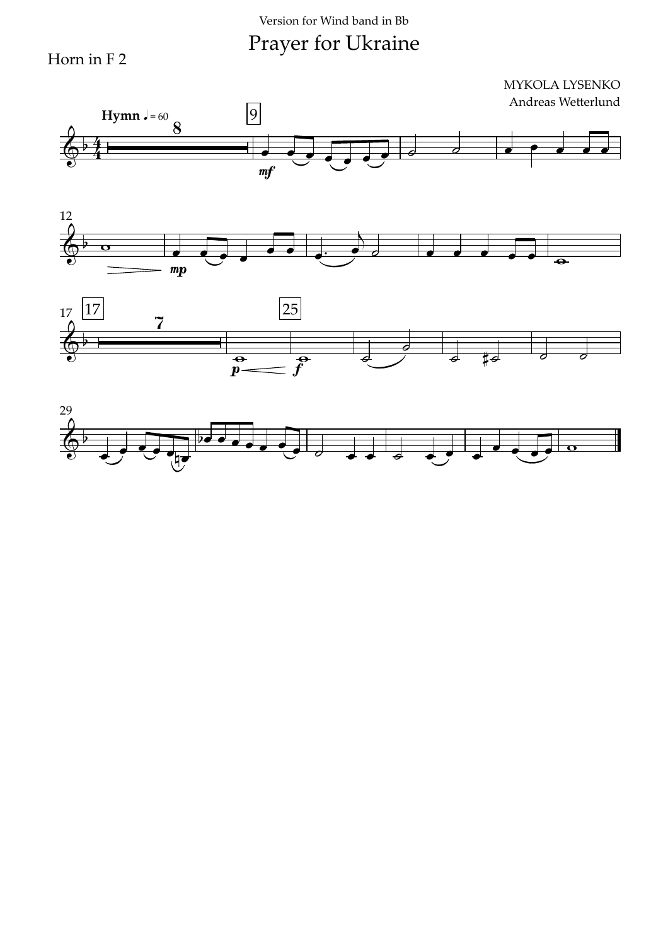Horn in F 2







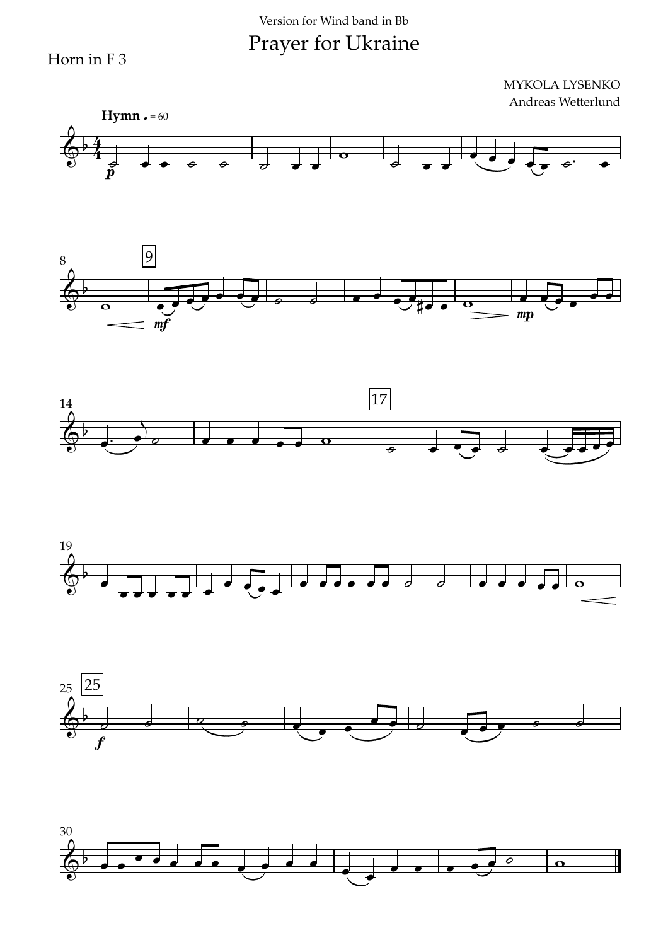#### Version for Wind band in Bb

Prayer for Ukraine

Horn in F 3











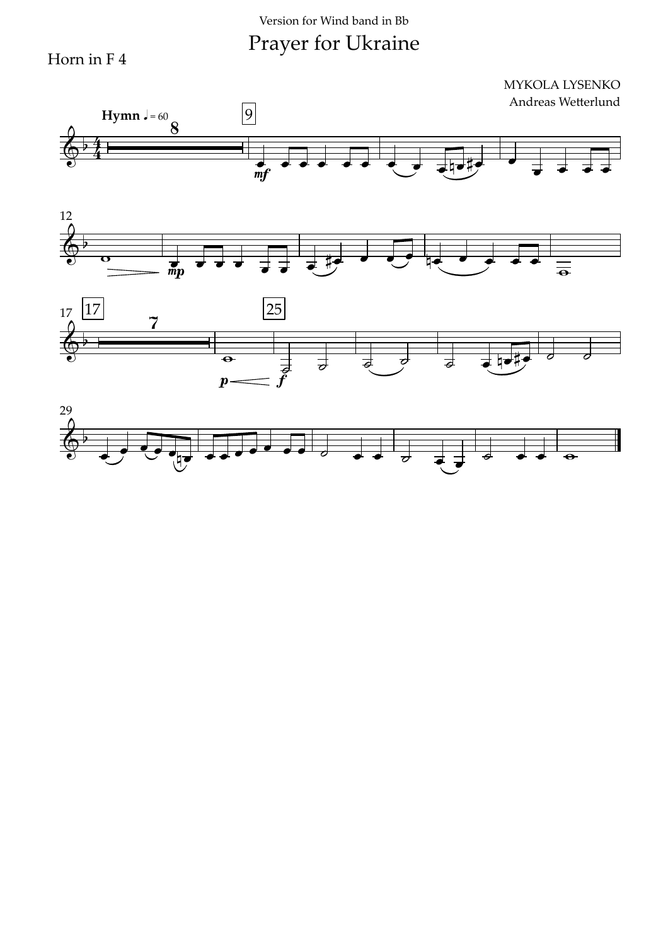Horn in F 4







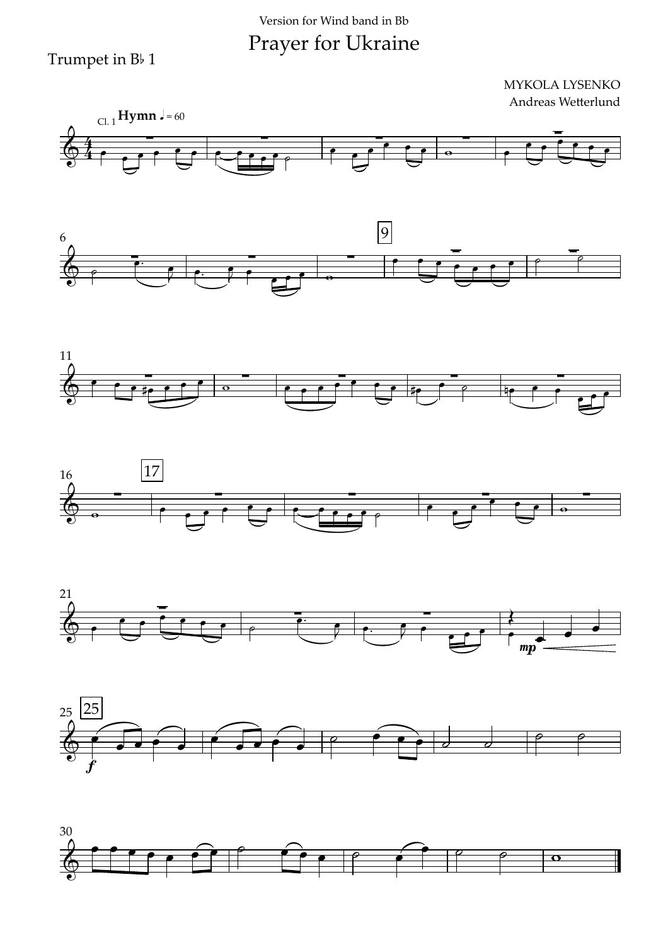Trumpet in B<sub>b</sub> 1













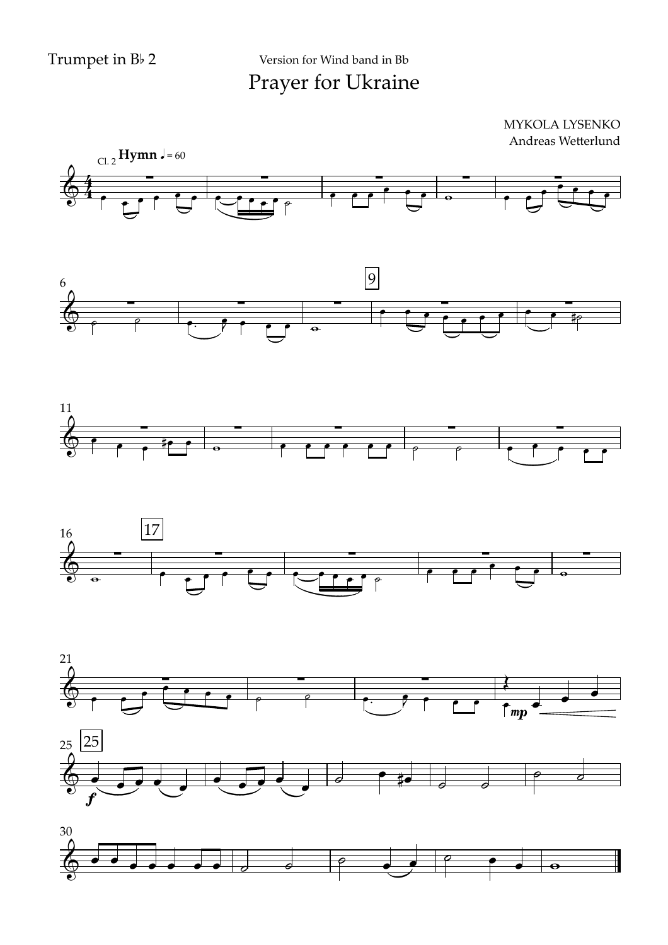Prayer for Ukraine Version for Wind band in Bb











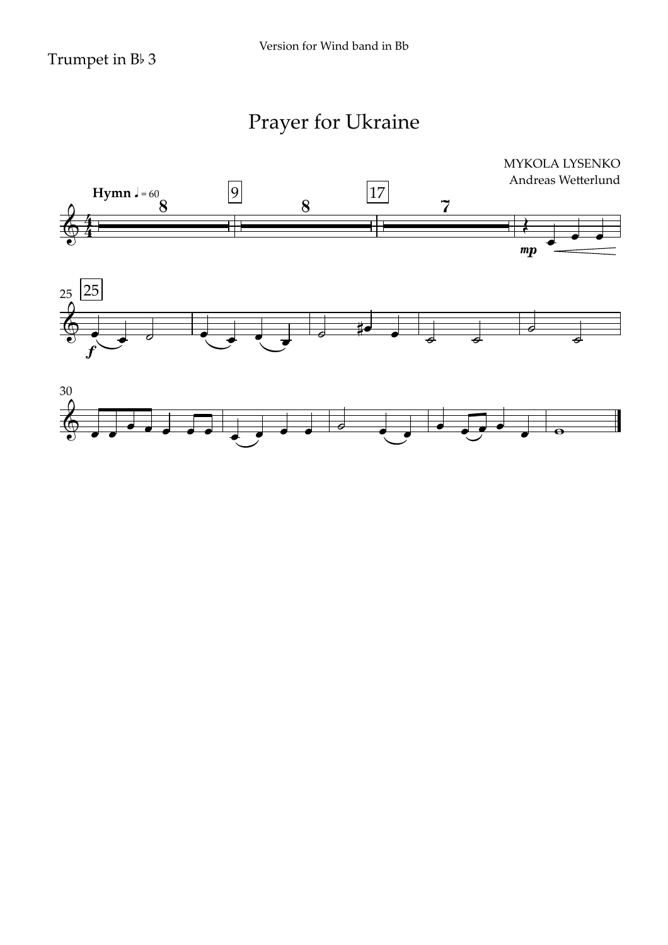### Trumpet in  $B\nmid 3$

# Prayer for Ukraine

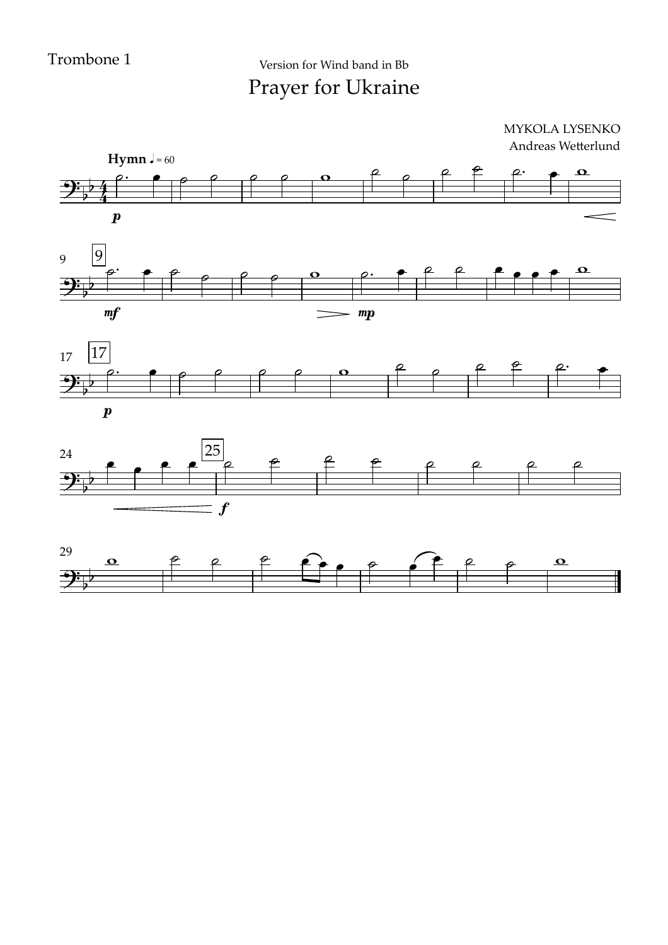Prayer for Ukraine Version for Wind band in Bb







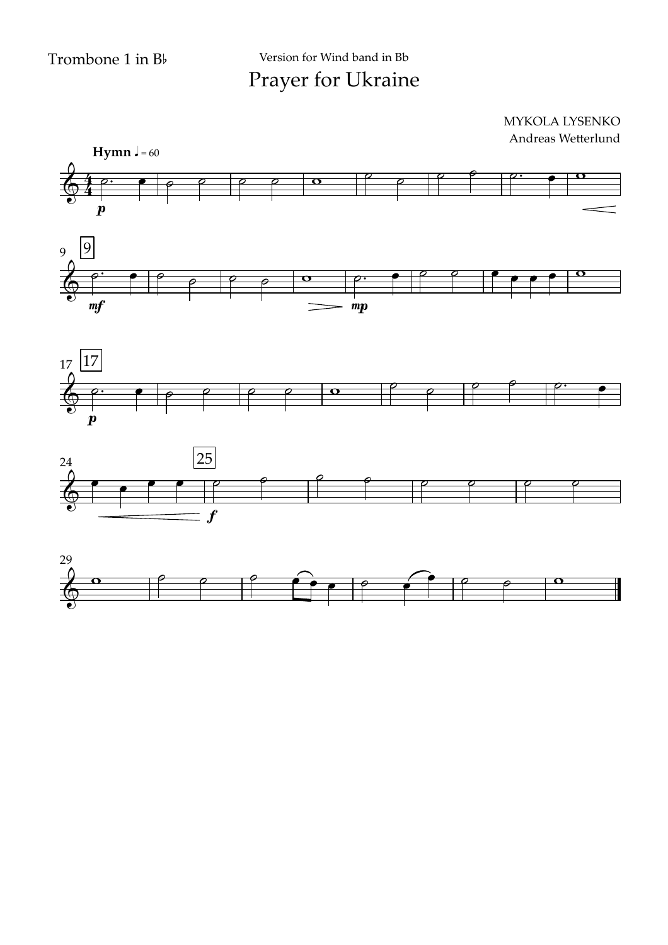





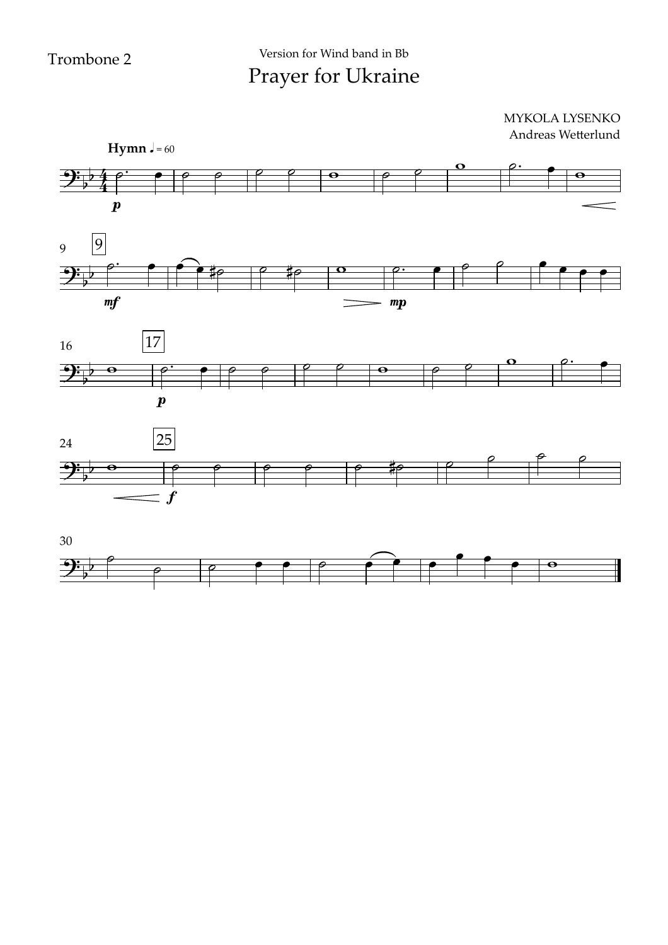





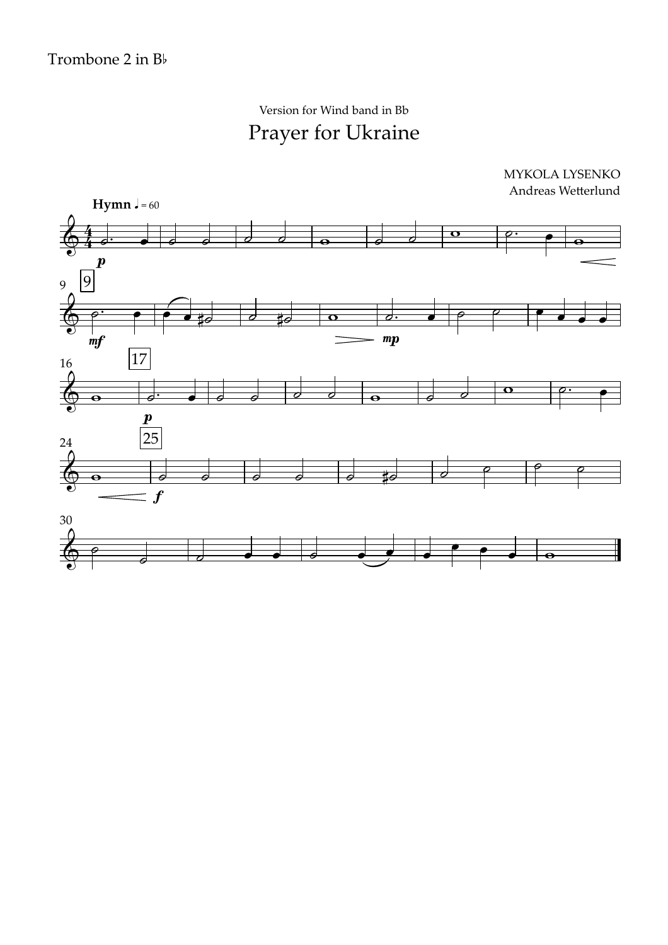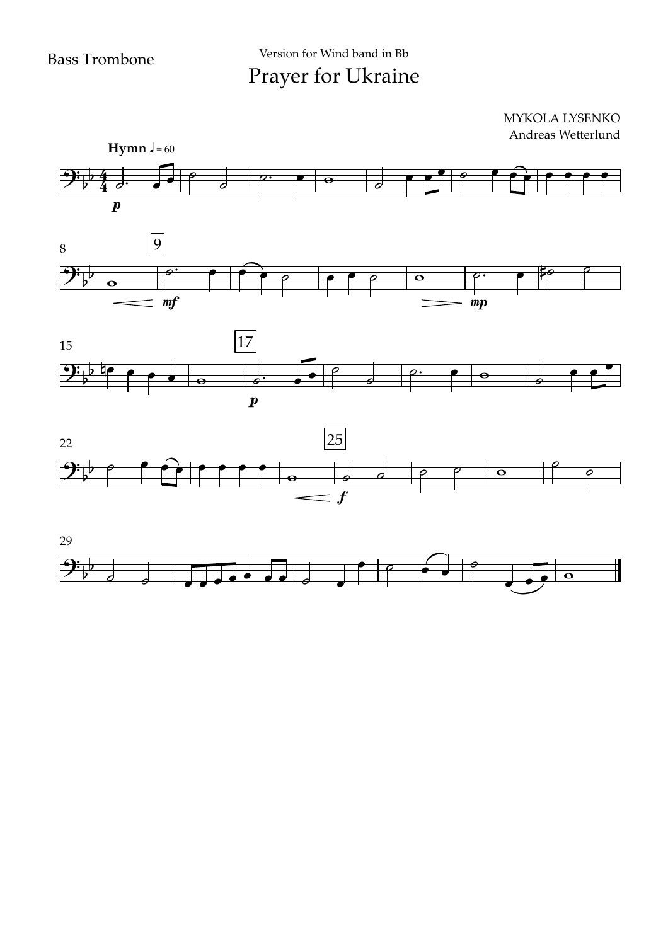#### $\boldsymbol{p}$ **Hymn**  $J = 60$ 8 9  $9:74$  $\frac{24}{1}$  $\frac{1}{2}$ MYKOLA LYSENKO Andreas Wetterlund  $\theta$   $\theta$  $\begin{array}{c} \bullet \ \bullet \ \bullet \end{array}$  $\circ$  $\overline{w}$   $\overline{w}$   $\overline{w}$   $\overline{w}$   $\overline{w}$   $\overline{w}$   $\overline{w}$   $\overline{w}$   $\overline{w}$   $\overline{w}$   $\overline{w}$   $\overline{w}$   $\overline{w}$   $\overline{w}$   $\overline{w}$   $\overline{w}$   $\overline{w}$   $\overline{w}$   $\overline{w}$   $\overline{w}$   $\overline{w}$   $\overline{w}$   $\overline{w}$   $\overline{w}$   $\overline{$  $e$   $e^+$   $e^$  $e$   $e$   $e$   $e$   $e$   $e$   $e$   $e$







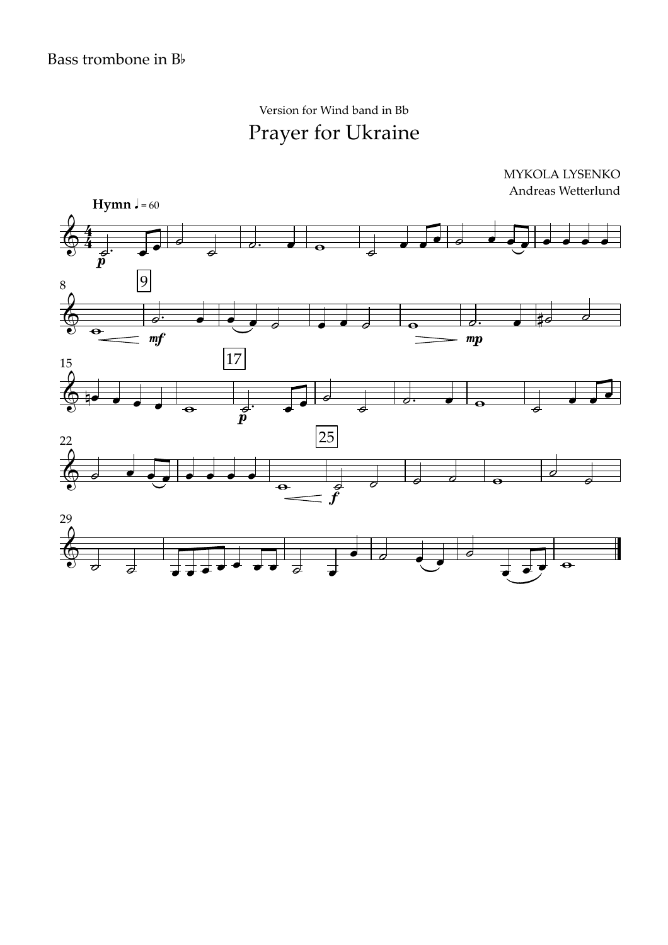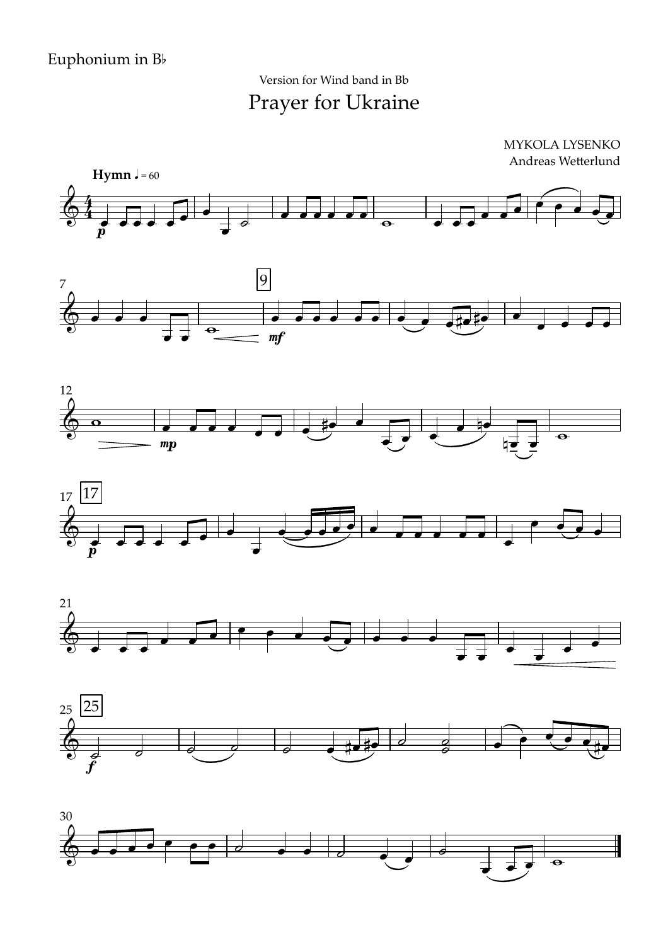Prayer for Ukraine Version for Wind band in Bb











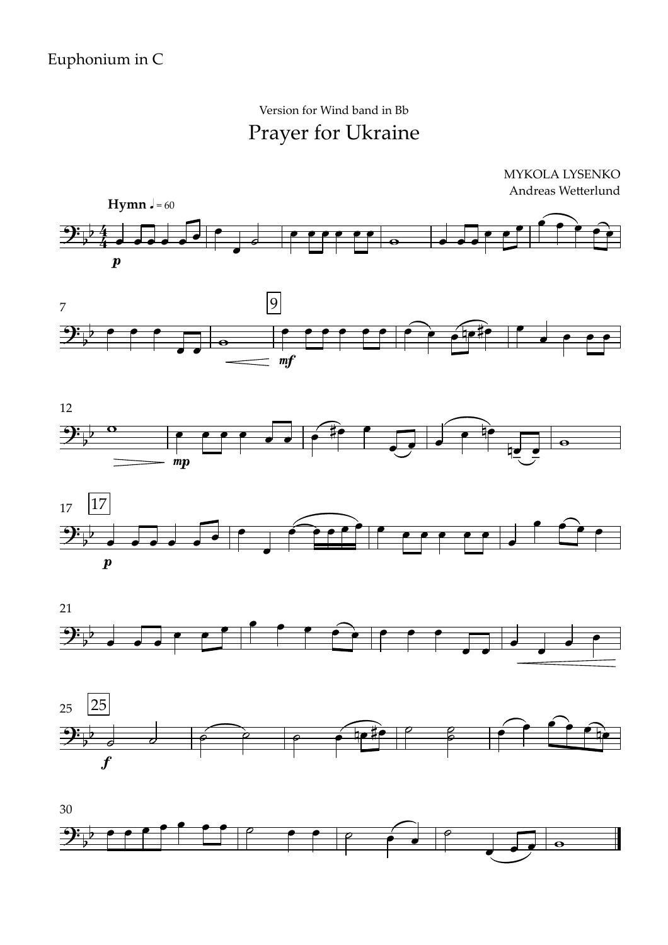MYKOLA LYSENKO Andreas Wetterlund











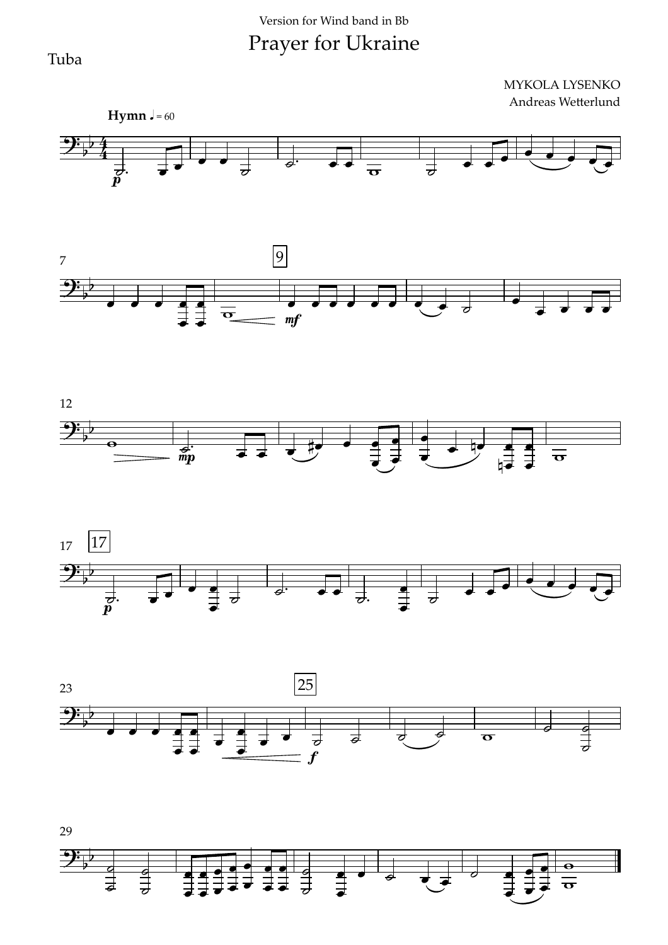#### Version for Wind band in Bb

# Prayer for Ukraine

Tuba







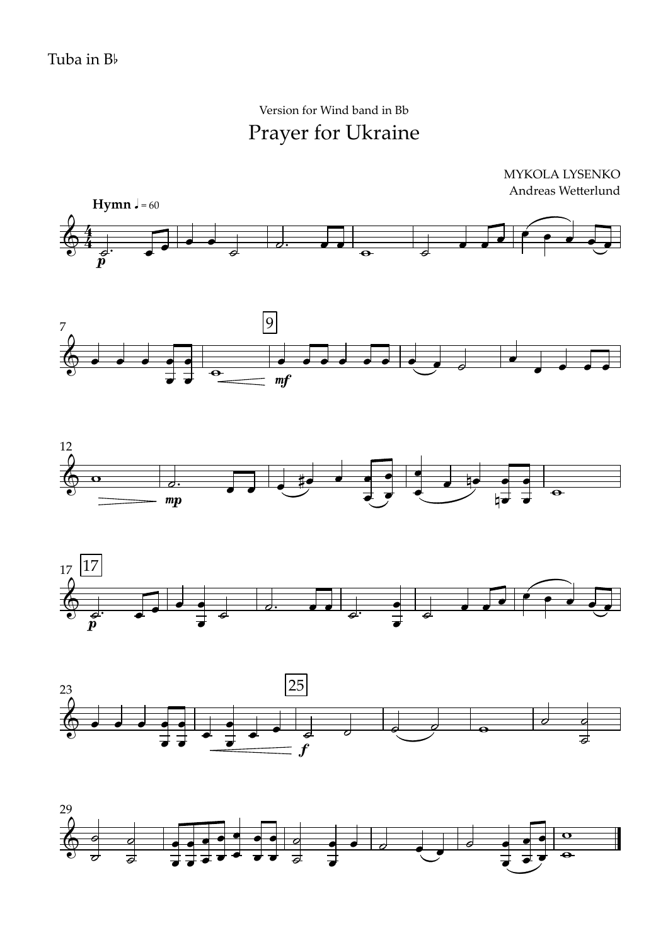Prayer for Ukraine Version for Wind band in Bb

MYKOLA LYSENKO Andreas Wetterlund











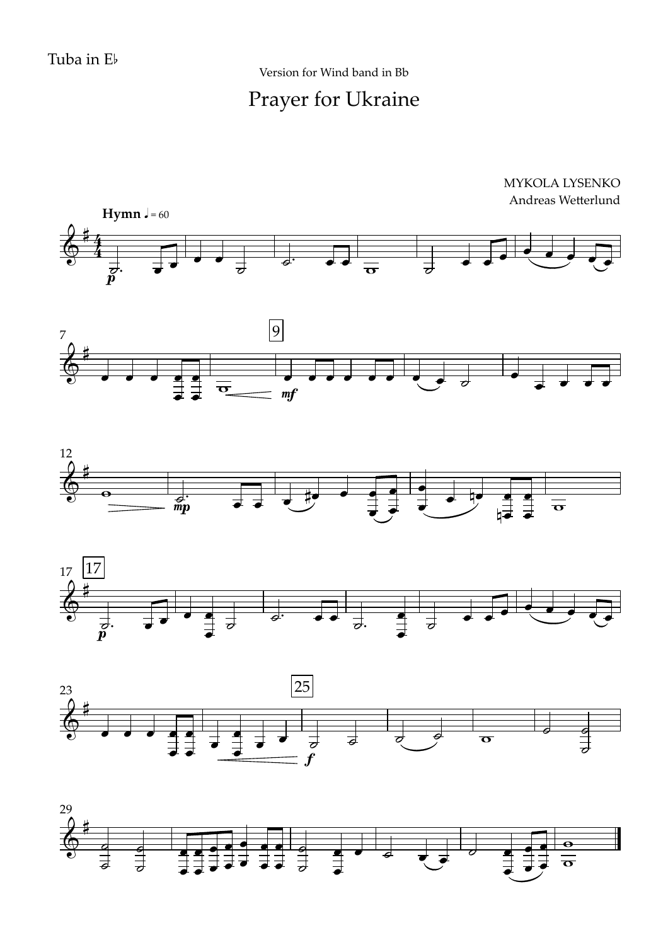Prayer for Ukraine Version for Wind band in Bb



MYKOLA LYSENKO









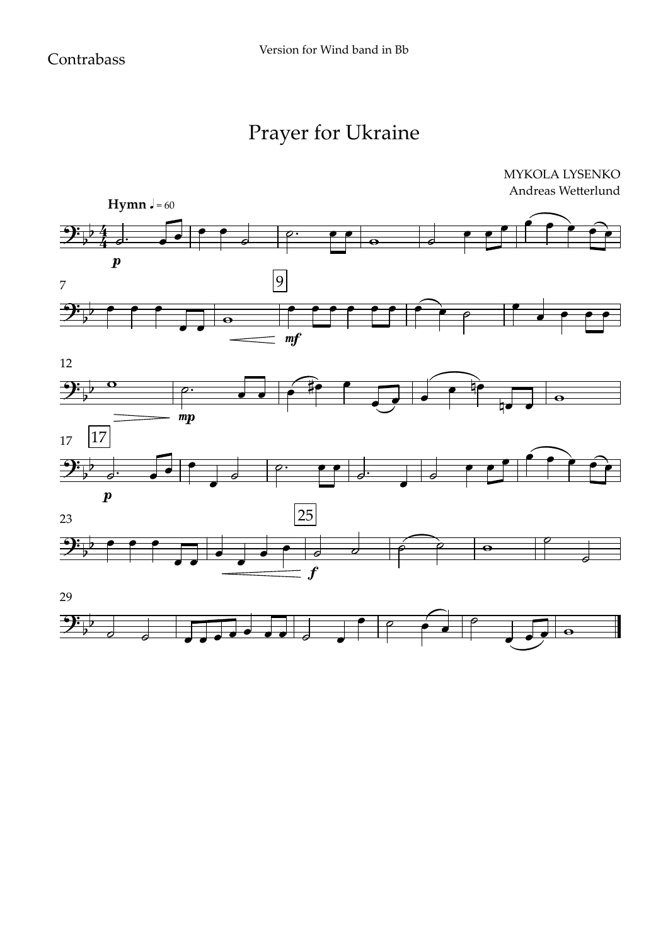# Prayer for Ukraine

MYKOLA LYSENKO



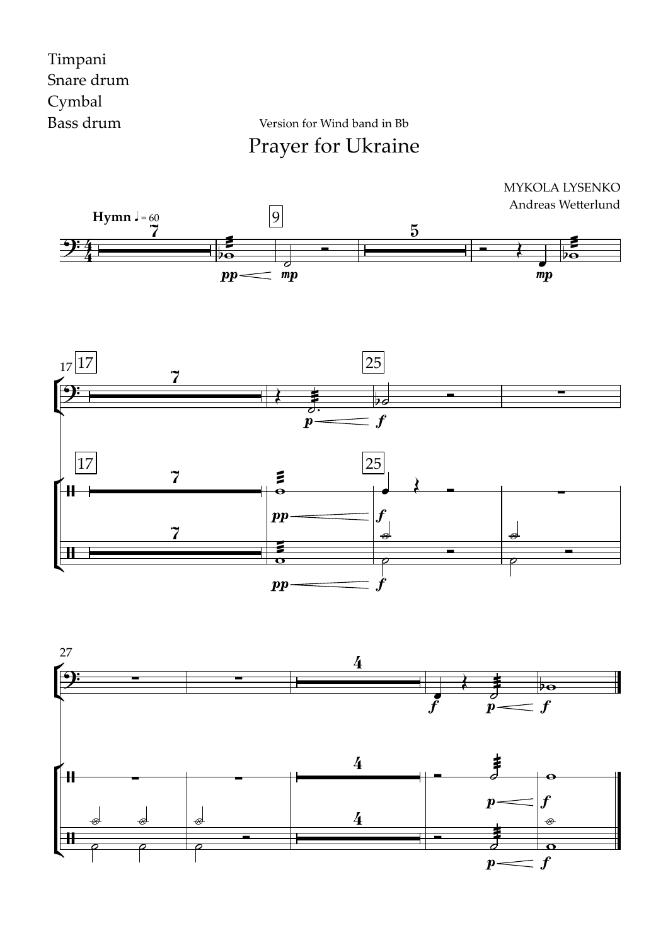#### Timpani Snare drum Cymbal Bass drum

Prayer for Ukraine Version for Wind band in Bb





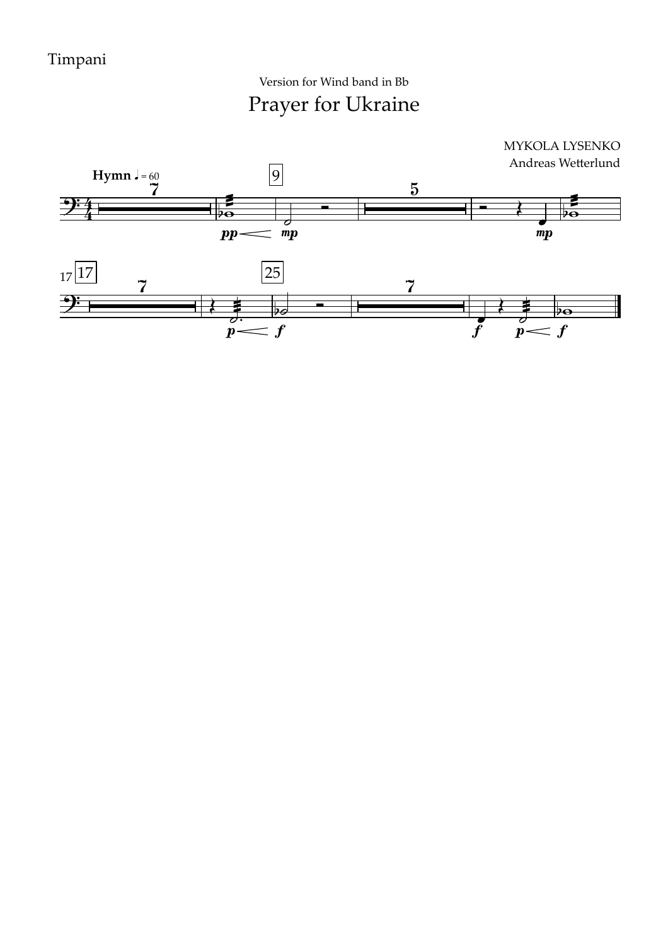Prayer for Ukraine Version for Wind band in Bb

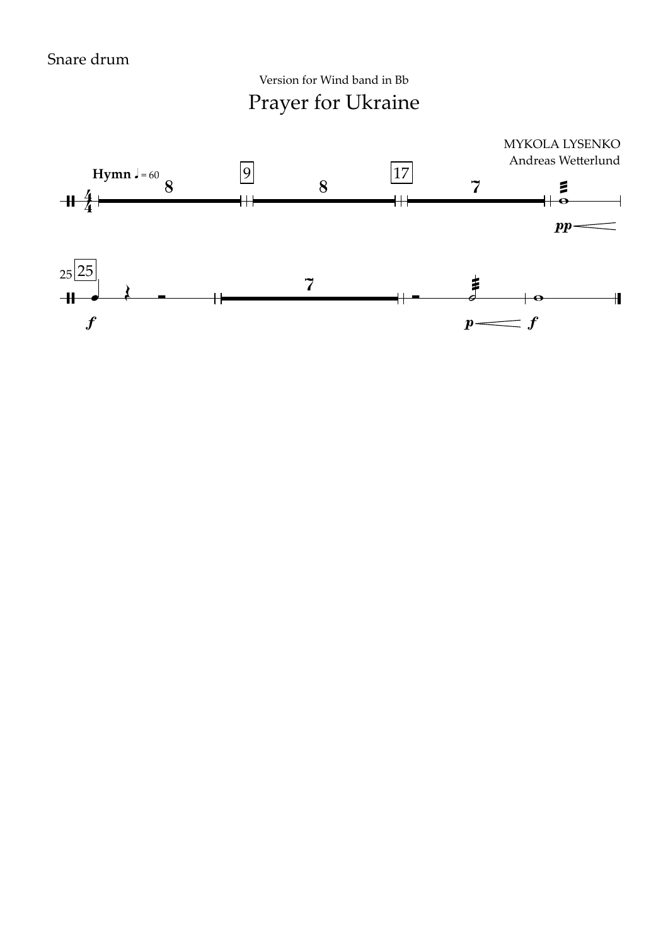Prayer for Ukraine Version for Wind band in Bb